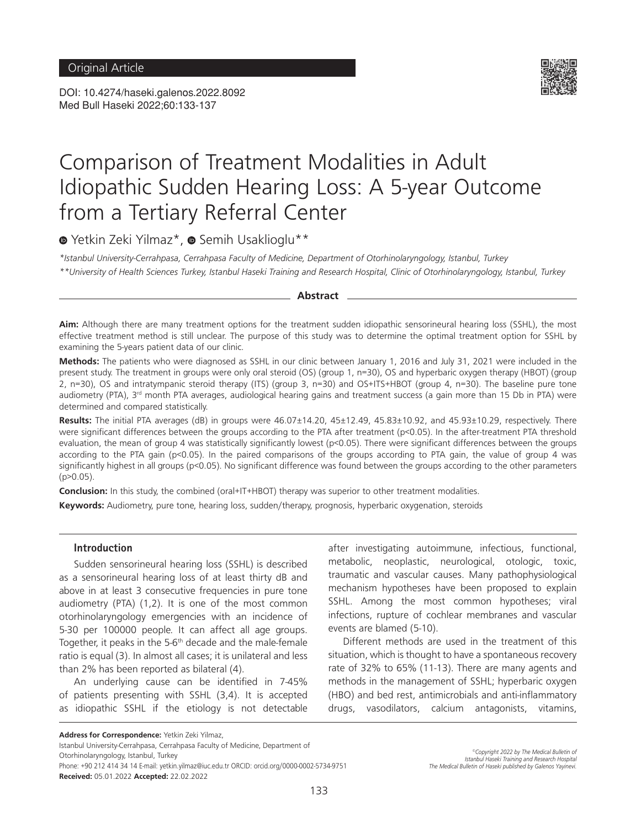DOI: 10.4274/haseki.galenos.2022.8092 Med Bull Haseki 2022;60:133-137



# Comparison of Treatment Modalities in Adult Idiopathic Sudden Hearing Loss: A 5-year Outcome from a Tertiary Referral Center

<sup>■</sup>Yetkin Zeki Yilmaz<sup>\*</sup>, ■ Semih Usaklioglu<sup>\*\*</sup>

*\*Istanbul University-Cerrahpasa, Cerrahpasa Faculty of Medicine, Department of Otorhinolaryngology, Istanbul, Turkey \*\*University of Health Sciences Turkey, Istanbul Haseki Training and Research Hospital, Clinic of Otorhinolaryngology, Istanbul, Turkey*

**Abstract**

**Aim:** Although there are many treatment options for the treatment sudden idiopathic sensorineural hearing loss (SSHL), the most effective treatment method is still unclear. The purpose of this study was to determine the optimal treatment option for SSHL by examining the 5-years patient data of our clinic.

**Methods:** The patients who were diagnosed as SSHL in our clinic between January 1, 2016 and July 31, 2021 were included in the present study. The treatment in groups were only oral steroid (OS) (group 1, n=30), OS and hyperbaric oxygen therapy (HBOT) (group 2, n=30), OS and intratympanic steroid therapy (ITS) (group 3, n=30) and OS+ITS+HBOT (group 4, n=30). The baseline pure tone audiometry (PTA), 3<sup>rd</sup> month PTA averages, audiological hearing gains and treatment success (a gain more than 15 Db in PTA) were determined and compared statistically.

**Results:** The initial PTA averages (dB) in groups were 46.07±14.20, 45±12.49, 45.83±10.92, and 45.93±10.29, respectively. There were significant differences between the groups according to the PTA after treatment (p<0.05). In the after-treatment PTA threshold evaluation, the mean of group 4 was statistically significantly lowest (p<0.05). There were significant differences between the groups according to the PTA gain (p<0.05). In the paired comparisons of the groups according to PTA gain, the value of group 4 was significantly highest in all groups (p<0.05). No significant difference was found between the groups according to the other parameters  $(p>0.05)$ .

**Conclusion:** In this study, the combined (oral+IT+HBOT) therapy was superior to other treatment modalities.

**Keywords:** Audiometry, pure tone, hearing loss, sudden/therapy, prognosis, hyperbaric oxygenation, steroids

### **Introduction**

Sudden sensorineural hearing loss (SSHL) is described as a sensorineural hearing loss of at least thirty dB and above in at least 3 consecutive frequencies in pure tone audiometry (PTA) (1,2). It is one of the most common otorhinolaryngology emergencies with an incidence of 5-30 per 100000 people. It can affect all age groups. Together, it peaks in the 5-6<sup>th</sup> decade and the male-female ratio is equal (3). In almost all cases; it is unilateral and less than 2% has been reported as bilateral (4).

An underlying cause can be identified in 7-45% of patients presenting with SSHL (3,4). It is accepted as idiopathic SSHL if the etiology is not detectable

after investigating autoimmune, infectious, functional, metabolic, neoplastic, neurological, otologic, toxic, traumatic and vascular causes. Many pathophysiological mechanism hypotheses have been proposed to explain SSHL. Among the most common hypotheses; viral infections, rupture of cochlear membranes and vascular events are blamed (5-10).

Different methods are used in the treatment of this situation, which is thought to have a spontaneous recovery rate of 32% to 65% (11-13). There are many agents and methods in the management of SSHL; hyperbaric oxygen (HBO) and bed rest, antimicrobials and anti-inflammatory drugs, vasodilators, calcium antagonists, vitamins,

**Address for Correspondence:** Yetkin Zeki Yilmaz,

Istanbul University-Cerrahpasa, Cerrahpasa Faculty of Medicine, Department of Otorhinolaryngology, Istanbul, Turkey Phone: +90 212 414 34 14 E-mail: yetkin.yilmaz@iuc.edu.tr ORCID: orcid.org/0000-0002-5734-9751

**Received:** 05.01.2022 **Accepted:** 22.02.2022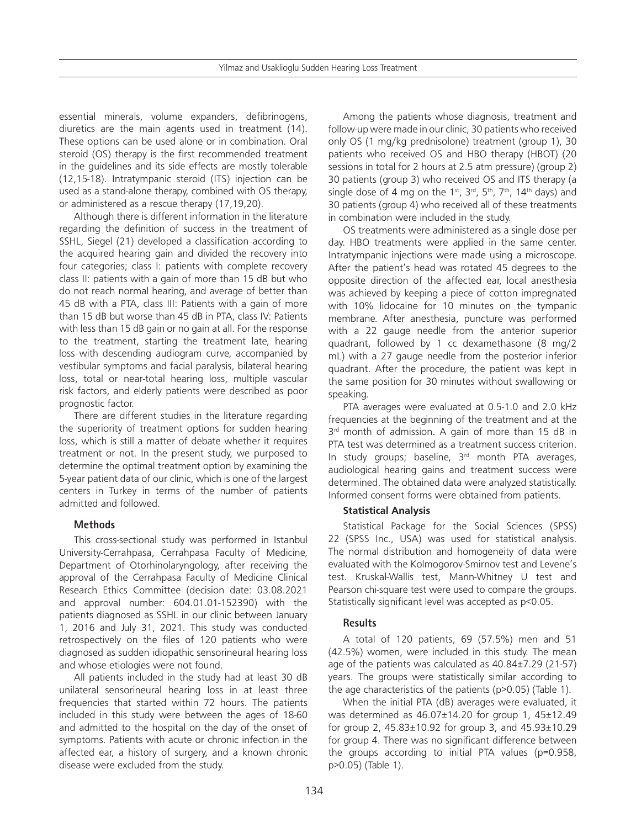essential minerals, volume expanders, defibrinogens, diuretics are the main agents used in treatment (14). These options can be used alone or in combination. Oral steroid (OS) therapy is the first recommended treatment in the guidelines and its side effects are mostly tolerable (12,15-18). Intratympanic steroid (ITS) injection can be used as a stand-alone therapy, combined with OS therapy, or administered as a rescue therapy (17,19,20).

Although there is different information in the literature regarding the definition of success in the treatment of SSHL, Siegel (21) developed a classification according to the acquired hearing gain and divided the recovery into four categories; class I: patients with complete recovery class II: patients with a gain of more than 15 dB but who do not reach normal hearing, and average of better than 45 dB with a PTA, class III: Patients with a gain of more than 15 dB but worse than 45 dB in PTA, class IV: Patients with less than 15 dB gain or no gain at all. For the response to the treatment, starting the treatment late, hearing loss with descending audiogram curve, accompanied by vestibular symptoms and facial paralysis, bilateral hearing loss, total or near-total hearing loss, multiple vascular risk factors, and elderly patients were described as poor prognostic factor.

There are different studies in the literature regarding the superiority of treatment options for sudden hearing loss, which is still a matter of debate whether it requires treatment or not. In the present study, we purposed to determine the optimal treatment option by examining the 5-year patient data of our clinic, which is one of the largest centers in Turkey in terms of the number of patients admitted and followed.

# **Methods**

This cross-sectional study was performed in Istanbul University-Cerrahpasa, Cerrahpasa Faculty of Medicine, Department of Otorhinolaryngology, after receiving the approval of the Cerrahpasa Faculty of Medicine Clinical Research Ethics Committee (decision date: 03.08.2021 and approval number: 604.01.01-152390) with the patients diagnosed as SSHL in our clinic between January 1, 2016 and July 31, 2021. This study was conducted retrospectively on the files of 120 patients who were diagnosed as sudden idiopathic sensorineural hearing loss and whose etiologies were not found.

All patients included in the study had at least 30 dB unilateral sensorineural hearing loss in at least three frequencies that started within 72 hours. The patients included in this study were between the ages of 18-60 and admitted to the hospital on the day of the onset of symptoms. Patients with acute or chronic infection in the affected ear, a history of surgery, and a known chronic disease were excluded from the study.

Among the patients whose diagnosis, treatment and follow-up were made in our clinic, 30 patients who received only OS (1 mg/kg prednisolone) treatment (group 1), 30 patients who received OS and HBO therapy (HBOT) (20 sessions in total for 2 hours at 2.5 atm pressure) (group 2) 30 patients (group 3) who received OS and ITS therapy (a single dose of 4 mg on the 1<sup>st</sup>, 3<sup>rd</sup>, 5<sup>th</sup>, 7<sup>th</sup>, 14<sup>th</sup> days) and 30 patients (group 4) who received all of these treatments in combination were included in the study.

OS treatments were administered as a single dose per day. HBO treatments were applied in the same center. Intratympanic injections were made using a microscope. After the patient's head was rotated 45 degrees to the opposite direction of the affected ear, local anesthesia was achieved by keeping a piece of cotton impregnated with 10% lidocaine for 10 minutes on the tympanic membrane. After anesthesia, puncture was performed with a 22 gauge needle from the anterior superior quadrant, followed by 1 cc dexamethasone (8 mg/2 mL) with a 27 gauge needle from the posterior inferior quadrant. After the procedure, the patient was kept in the same position for 30 minutes without swallowing or speaking.

PTA averages were evaluated at 0.5-1.0 and 2.0 kHz frequencies at the beginning of the treatment and at the 3<sup>rd</sup> month of admission. A gain of more than 15 dB in PTA test was determined as a treatment success criterion. In study groups; baseline,  $3<sup>rd</sup>$  month PTA averages, audiological hearing gains and treatment success were determined. The obtained data were analyzed statistically. Informed consent forms were obtained from patients.

## **Statistical Analysis**

Statistical Package for the Social Sciences (SPSS) 22 (SPSS Inc., USA) was used for statistical analysis. The normal distribution and homogeneity of data were evaluated with the Kolmogorov-Smirnov test and Levene's test. Kruskal-Wallis test, Mann-Whitney U test and Pearson chi-square test were used to compare the groups. Statistically significant level was accepted as p<0.05.

# **Results**

A total of 120 patients, 69 (57.5%) men and 51 (42.5%) women, were included in this study. The mean age of the patients was calculated as 40.84±7.29 (21-57) years. The groups were statistically similar according to the age characteristics of the patients (p>0.05) (Table 1).

When the initial PTA (dB) averages were evaluated, it was determined as 46.07±14.20 for group 1, 45±12.49 for group 2, 45.83±10.92 for group 3, and 45.93±10.29 for group 4. There was no significant difference between the groups according to initial PTA values (p=0.958, p>0.05) (Table 1).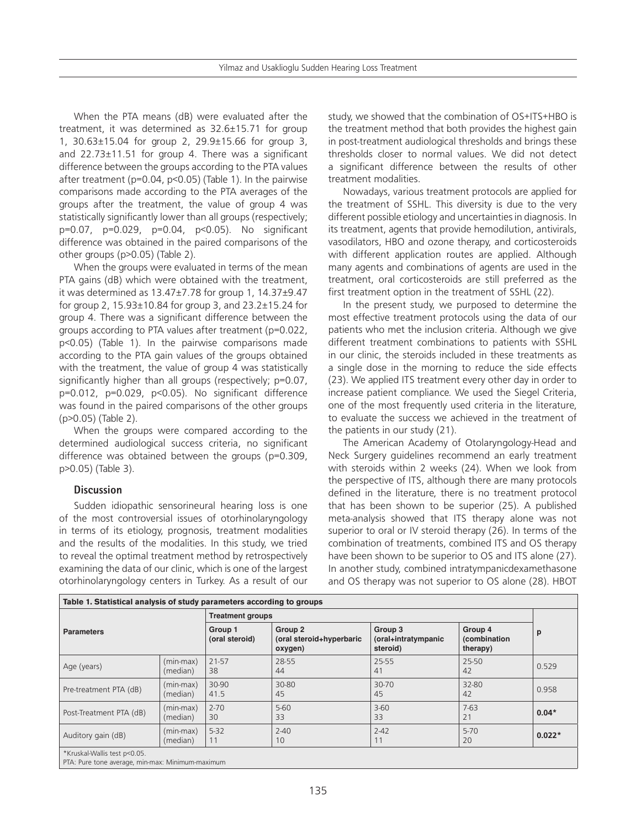When the PTA means (dB) were evaluated after the treatment, it was determined as 32.6±15.71 for group 1, 30.63±15.04 for group 2, 29.9±15.66 for group 3, and 22.73±11.51 for group 4. There was a significant difference between the groups according to the PTA values after treatment (p=0.04, p<0.05) (Table 1). In the pairwise comparisons made according to the PTA averages of the groups after the treatment, the value of group 4 was statistically significantly lower than all groups (respectively; p=0.07, p=0.029, p=0.04, p<0.05). No significant difference was obtained in the paired comparisons of the other groups (p>0.05) (Table 2).

When the groups were evaluated in terms of the mean PTA gains (dB) which were obtained with the treatment, it was determined as 13.47±7.78 for group 1, 14.37±9.47 for group 2, 15.93±10.84 for group 3, and 23.2±15.24 for group 4. There was a significant difference between the groups according to PTA values after treatment (p=0.022, p<0.05) (Table 1). In the pairwise comparisons made according to the PTA gain values of the groups obtained with the treatment, the value of group 4 was statistically significantly higher than all groups (respectively; p=0.07, p=0.012, p=0.029, p<0.05). No significant difference was found in the paired comparisons of the other groups (p>0.05) (Table 2).

When the groups were compared according to the determined audiological success criteria, no significant difference was obtained between the groups (p=0.309, p>0.05) (Table 3).

## **Discussion**

Sudden idiopathic sensorineural hearing loss is one of the most controversial issues of otorhinolaryngology in terms of its etiology, prognosis, treatment modalities and the results of the modalities. In this study, we tried to reveal the optimal treatment method by retrospectively examining the data of our clinic, which is one of the largest otorhinolaryngology centers in Turkey. As a result of our

study, we showed that the combination of OS+ITS+HBO is the treatment method that both provides the highest gain in post-treatment audiological thresholds and brings these thresholds closer to normal values. We did not detect a significant difference between the results of other treatment modalities.

Nowadays, various treatment protocols are applied for the treatment of SSHL. This diversity is due to the very different possible etiology and uncertainties in diagnosis. In its treatment, agents that provide hemodilution, antivirals, vasodilators, HBO and ozone therapy, and corticosteroids with different application routes are applied. Although many agents and combinations of agents are used in the treatment, oral corticosteroids are still preferred as the first treatment option in the treatment of SSHL (22).

In the present study, we purposed to determine the most effective treatment protocols using the data of our patients who met the inclusion criteria. Although we give different treatment combinations to patients with SSHL in our clinic, the steroids included in these treatments as a single dose in the morning to reduce the side effects (23). We applied ITS treatment every other day in order to increase patient compliance. We used the Siegel Criteria, one of the most frequently used criteria in the literature, to evaluate the success we achieved in the treatment of the patients in our study (21).

The American Academy of Otolaryngology-Head and Neck Surgery guidelines recommend an early treatment with steroids within 2 weeks (24). When we look from the perspective of ITS, although there are many protocols defined in the literature, there is no treatment protocol that has been shown to be superior (25). A published meta-analysis showed that ITS therapy alone was not superior to oral or IV steroid therapy (26). In terms of the combination of treatments, combined ITS and OS therapy have been shown to be superior to OS and ITS alone (27). In another study, combined intratympanicdexamethasone and OS therapy was not superior to OS alone (28). HBOT

| Table 1. Statistical analysis of study parameters according to groups |                         |                           |                                                |                                            |                                     |          |  |  |
|-----------------------------------------------------------------------|-------------------------|---------------------------|------------------------------------------------|--------------------------------------------|-------------------------------------|----------|--|--|
| <b>Parameters</b>                                                     |                         | <b>Treatment groups</b>   |                                                |                                            |                                     |          |  |  |
|                                                                       |                         | Group 1<br>(oral steroid) | Group 2<br>(oral steroid+hyperbaric<br>oxygen) | Group 3<br>(oral+intratympanic<br>steroid) | Group 4<br>(combination<br>therapy) | p        |  |  |
| Age (years)                                                           | $(min-max)$<br>(median) | 21-57<br>38               | 28-55<br>44                                    | 25-55<br>41                                | 25-50<br>42                         | 0.529    |  |  |
| Pre-treatment PTA (dB)                                                | $(min-max)$<br>(median) | 30-90<br>41.5             | 30-80<br>45                                    | 30-70<br>45                                | 32-80<br>42                         | 0.958    |  |  |
| Post-Treatment PTA (dB)                                               | (min-max)<br>(median)   | $2 - 70$<br>30            | $5 - 60$<br>33                                 | $3 - 60$<br>33                             | $7-63$<br>21                        | $0.04*$  |  |  |
| Auditory gain (dB)                                                    | $(min-max)$<br>(median) | $5 - 32$<br>11            | $2 - 40$<br>10                                 | $2 - 42$<br>11                             | $5-70$<br>20                        | $0.022*$ |  |  |
| *Kruskal-Wallis test p<0.05.                                          |                         |                           |                                                |                                            |                                     |          |  |  |

PTA: Pure tone average, min-max: Minimum-maximum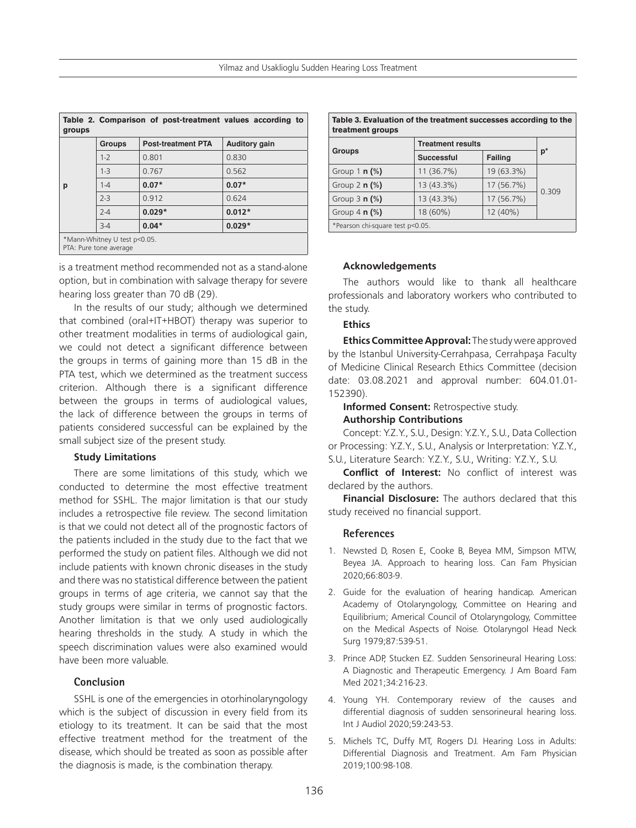| Table 2. Comparison of post-treatment values according to<br>groups |               |                           |                      |  |  |  |  |  |
|---------------------------------------------------------------------|---------------|---------------------------|----------------------|--|--|--|--|--|
| р                                                                   | <b>Groups</b> | <b>Post-treatment PTA</b> | <b>Auditory gain</b> |  |  |  |  |  |
|                                                                     | $1 - 2$       | 0.801                     | 0.830                |  |  |  |  |  |
|                                                                     | $1 - 3$       | 0.767                     | 0.562                |  |  |  |  |  |
|                                                                     | $1 - 4$       | $0.07*$                   | $0.07*$              |  |  |  |  |  |
|                                                                     | $2 - 3$       | 0.912                     | 0.624                |  |  |  |  |  |
|                                                                     | $2 - 4$       | $0.029*$                  | $0.012*$             |  |  |  |  |  |
|                                                                     | $3-4$         | $0.04*$                   | $0.029*$             |  |  |  |  |  |
| *Mann-Whitney U test p<0.05.<br>PTA: Pure tone average              |               |                           |                      |  |  |  |  |  |

is a treatment method recommended not as a stand-alone option, but in combination with salvage therapy for severe hearing loss greater than 70 dB (29).

In the results of our study; although we determined that combined (oral+IT+HBOT) therapy was superior to other treatment modalities in terms of audiological gain, we could not detect a significant difference between the groups in terms of gaining more than 15 dB in the PTA test, which we determined as the treatment success criterion. Although there is a significant difference between the groups in terms of audiological values, the lack of difference between the groups in terms of patients considered successful can be explained by the small subject size of the present study.

## **Study Limitations**

There are some limitations of this study, which we conducted to determine the most effective treatment method for SSHL. The major limitation is that our study includes a retrospective file review. The second limitation is that we could not detect all of the prognostic factors of the patients included in the study due to the fact that we performed the study on patient files. Although we did not include patients with known chronic diseases in the study and there was no statistical difference between the patient groups in terms of age criteria, we cannot say that the study groups were similar in terms of prognostic factors. Another limitation is that we only used audiologically hearing thresholds in the study. A study in which the speech discrimination values were also examined would have been more valuable.

### **Conclusion**

SSHL is one of the emergencies in otorhinolaryngology which is the subject of discussion in every field from its etiology to its treatment. It can be said that the most effective treatment method for the treatment of the disease, which should be treated as soon as possible after the diagnosis is made, is the combination therapy.

| Table 3. Evaluation of the treatment successes according to the<br>treatment groups |                          |            |       |  |  |  |  |
|-------------------------------------------------------------------------------------|--------------------------|------------|-------|--|--|--|--|
|                                                                                     | <b>Treatment results</b> |            |       |  |  |  |  |
| <b>Groups</b>                                                                       | <b>Successful</b>        | Failing    | $p^*$ |  |  |  |  |
| Group $1 n$ (%)                                                                     | 11 (36.7%)               | 19 (63.3%) | 0.309 |  |  |  |  |
| Group $2 \nvert n \nvert \frac{6}{6}$                                               | 13 (43.3%)               | 17 (56.7%) |       |  |  |  |  |
| Group $3 \nmid \frac{6}{6}$                                                         | 13 (43.3%)               | 17 (56.7%) |       |  |  |  |  |
| Group $4 \, \text{m}$ (%)                                                           | 18 (60%)                 | 12 (40%)   |       |  |  |  |  |
| *Pearson chi-square test p<0.05.                                                    |                          |            |       |  |  |  |  |

**Acknowledgements**

The authors would like to thank all healthcare professionals and laboratory workers who contributed to the study.

#### **Ethics**

**Ethics Committee Approval:** The study were approved by the Istanbul University-Cerrahpasa, Cerrahpaşa Faculty of Medicine Clinical Research Ethics Committee (decision date: 03.08.2021 and approval number: 604.01.01- 152390).

**Informed Consent: Retrospective study. Authorship Contributions**

Concept: Y.Z.Y., S.U., Design: Y.Z.Y., S.U., Data Collection or Processing: Y.Z.Y., S.U., Analysis or Interpretation: Y.Z.Y., S.U., Literature Search: Y.Z.Y., S.U., Writing: Y.Z.Y., S.U.

**Conflict of Interest:** No conflict of interest was declared by the authors.

**Financial Disclosure:** The authors declared that this study received no financial support.

#### **References**

- 1. Newsted D, Rosen E, Cooke B, Beyea MM, Simpson MTW, Beyea JA. Approach to hearing loss. Can Fam Physician 2020;66:803-9.
- 2. Guide for the evaluation of hearing handicap. American Academy of Otolaryngology, Committee on Hearing and Equilibrium; Americal Council of Otolaryngology, Committee on the Medical Aspects of Noise. Otolaryngol Head Neck Surg 1979;87:539-51.
- 3. Prince ADP, Stucken EZ. Sudden Sensorineural Hearing Loss: A Diagnostic and Therapeutic Emergency. J Am Board Fam Med 2021;34:216-23.
- 4. Young YH. Contemporary review of the causes and differential diagnosis of sudden sensorineural hearing loss. Int J Audiol 2020;59:243-53.
- 5. Michels TC, Duffy MT, Rogers DJ. Hearing Loss in Adults: Differential Diagnosis and Treatment. Am Fam Physician 2019;100:98-108.